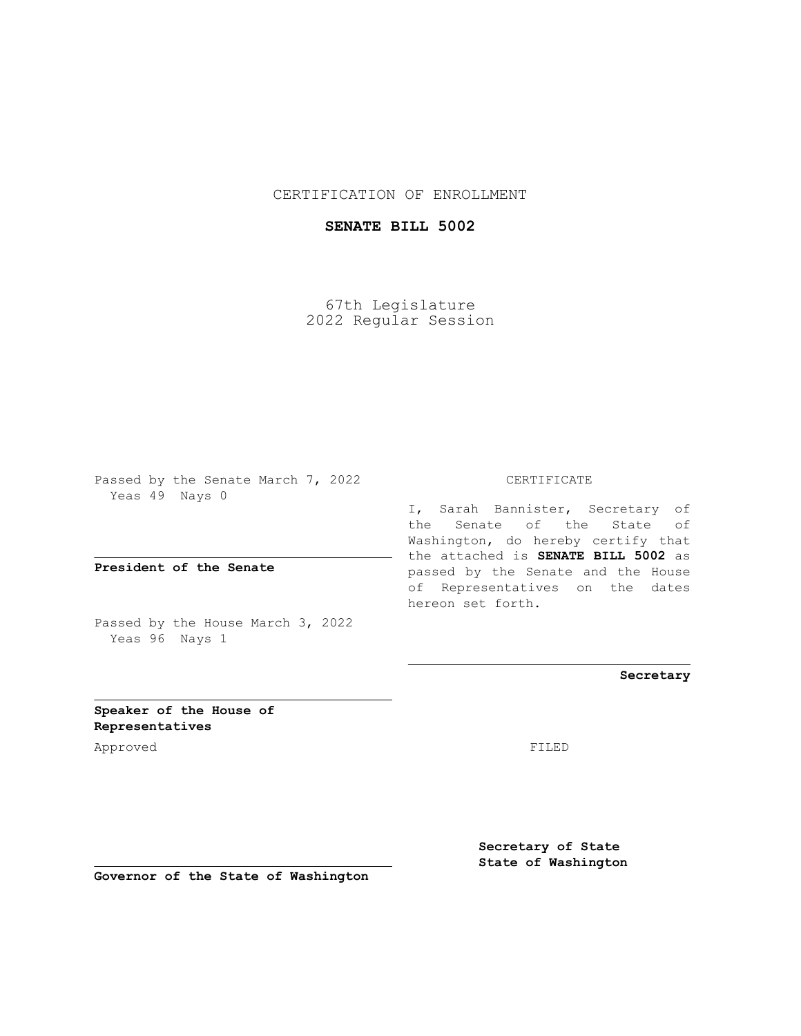## CERTIFICATION OF ENROLLMENT

## **SENATE BILL 5002**

67th Legislature 2022 Regular Session

Passed by the Senate March 7, 2022 Yeas 49 Nays 0

**President of the Senate**

Passed by the House March 3, 2022 Yeas 96 Nays 1

CERTIFICATE

I, Sarah Bannister, Secretary of the Senate of the State of Washington, do hereby certify that the attached is **SENATE BILL 5002** as passed by the Senate and the House of Representatives on the dates hereon set forth.

**Secretary**

**Speaker of the House of Representatives**

Approved FILED

**Secretary of State State of Washington**

**Governor of the State of Washington**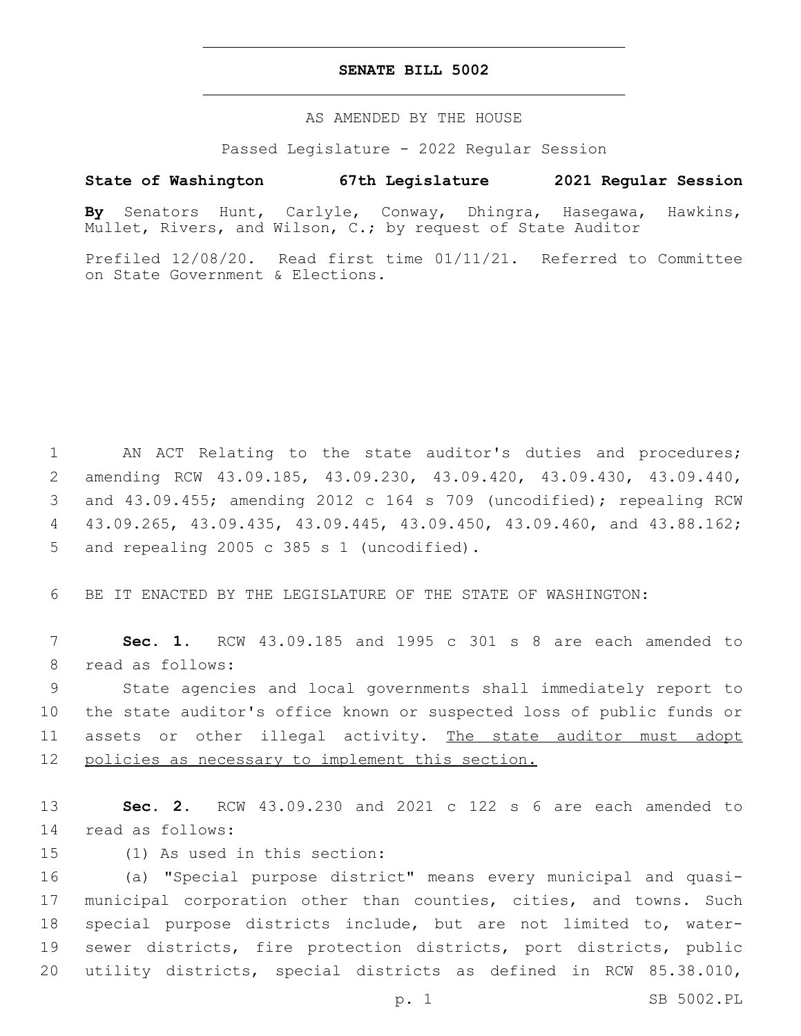## **SENATE BILL 5002**

AS AMENDED BY THE HOUSE

Passed Legislature - 2022 Regular Session

## **State of Washington 67th Legislature 2021 Regular Session**

**By** Senators Hunt, Carlyle, Conway, Dhingra, Hasegawa, Hawkins, Mullet, Rivers, and Wilson, C.; by request of State Auditor

Prefiled 12/08/20. Read first time 01/11/21. Referred to Committee on State Government & Elections.

1 AN ACT Relating to the state auditor's duties and procedures; 2 amending RCW 43.09.185, 43.09.230, 43.09.420, 43.09.430, 43.09.440, 3 and 43.09.455; amending 2012 c 164 s 709 (uncodified); repealing RCW 4 43.09.265, 43.09.435, 43.09.445, 43.09.450, 43.09.460, and 43.88.162; 5 and repealing 2005 c 385 s 1 (uncodified).

6 BE IT ENACTED BY THE LEGISLATURE OF THE STATE OF WASHINGTON:

7 **Sec. 1.** RCW 43.09.185 and 1995 c 301 s 8 are each amended to 8 read as follows:

9 State agencies and local governments shall immediately report to 10 the state auditor's office known or suspected loss of public funds or 11 assets or other illegal activity. The state auditor must adopt 12 policies as necessary to implement this section.

13 **Sec. 2.** RCW 43.09.230 and 2021 c 122 s 6 are each amended to 14 read as follows:

15 (1) As used in this section:

 (a) "Special purpose district" means every municipal and quasi- municipal corporation other than counties, cities, and towns. Such special purpose districts include, but are not limited to, water- sewer districts, fire protection districts, port districts, public utility districts, special districts as defined in RCW 85.38.010,

p. 1 SB 5002.PL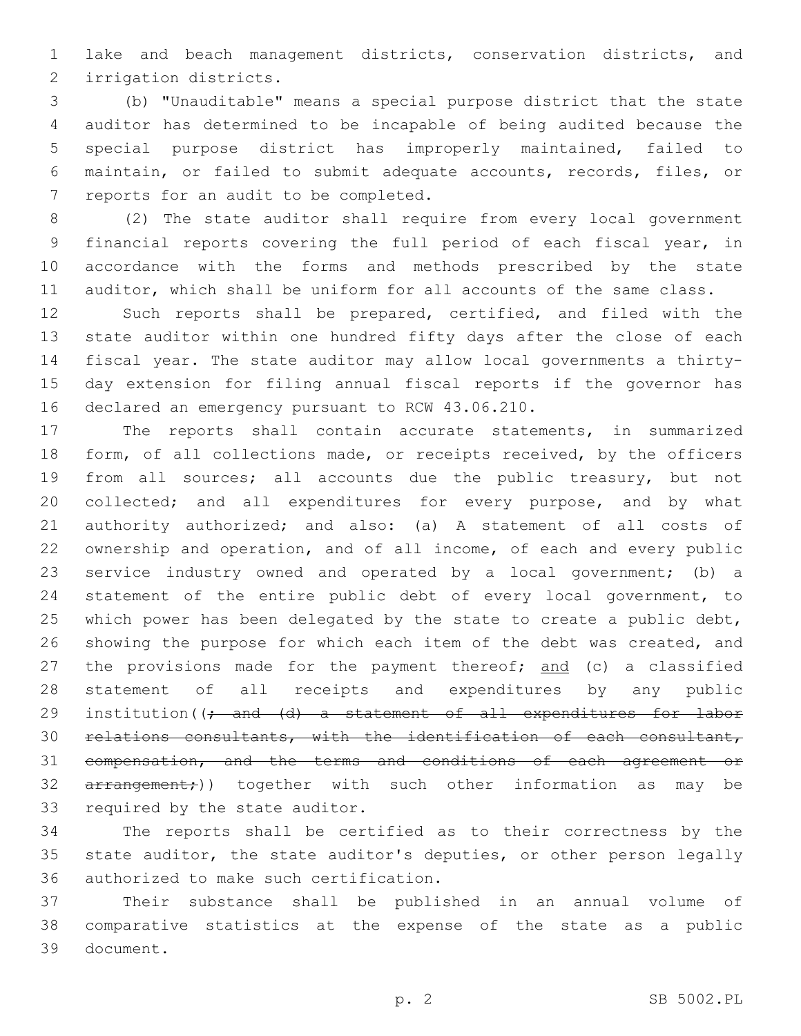lake and beach management districts, conservation districts, and 2 irrigation districts.

 (b) "Unauditable" means a special purpose district that the state auditor has determined to be incapable of being audited because the special purpose district has improperly maintained, failed to maintain, or failed to submit adequate accounts, records, files, or 7 reports for an audit to be completed.

 (2) The state auditor shall require from every local government financial reports covering the full period of each fiscal year, in accordance with the forms and methods prescribed by the state auditor, which shall be uniform for all accounts of the same class.

 Such reports shall be prepared, certified, and filed with the state auditor within one hundred fifty days after the close of each fiscal year. The state auditor may allow local governments a thirty- day extension for filing annual fiscal reports if the governor has 16 declared an emergency pursuant to RCW 43.06.210.

 The reports shall contain accurate statements, in summarized 18 form, of all collections made, or receipts received, by the officers from all sources; all accounts due the public treasury, but not collected; and all expenditures for every purpose, and by what authority authorized; and also: (a) A statement of all costs of ownership and operation, and of all income, of each and every public service industry owned and operated by a local government; (b) a statement of the entire public debt of every local government, to 25 which power has been delegated by the state to create a public debt, 26 showing the purpose for which each item of the debt was created, and 27 the provisions made for the payment thereof; and (c) a classified statement of all receipts and expenditures by any public 29 institution((; and (d) a statement of all expenditures for labor relations consultants, with the identification of each consultant, compensation, and the terms and conditions of each agreement or 32 arrangement;)) together with such other information as may be 33 required by the state auditor.

 The reports shall be certified as to their correctness by the state auditor, the state auditor's deputies, or other person legally 36 authorized to make such certification.

 Their substance shall be published in an annual volume of comparative statistics at the expense of the state as a public 39 document.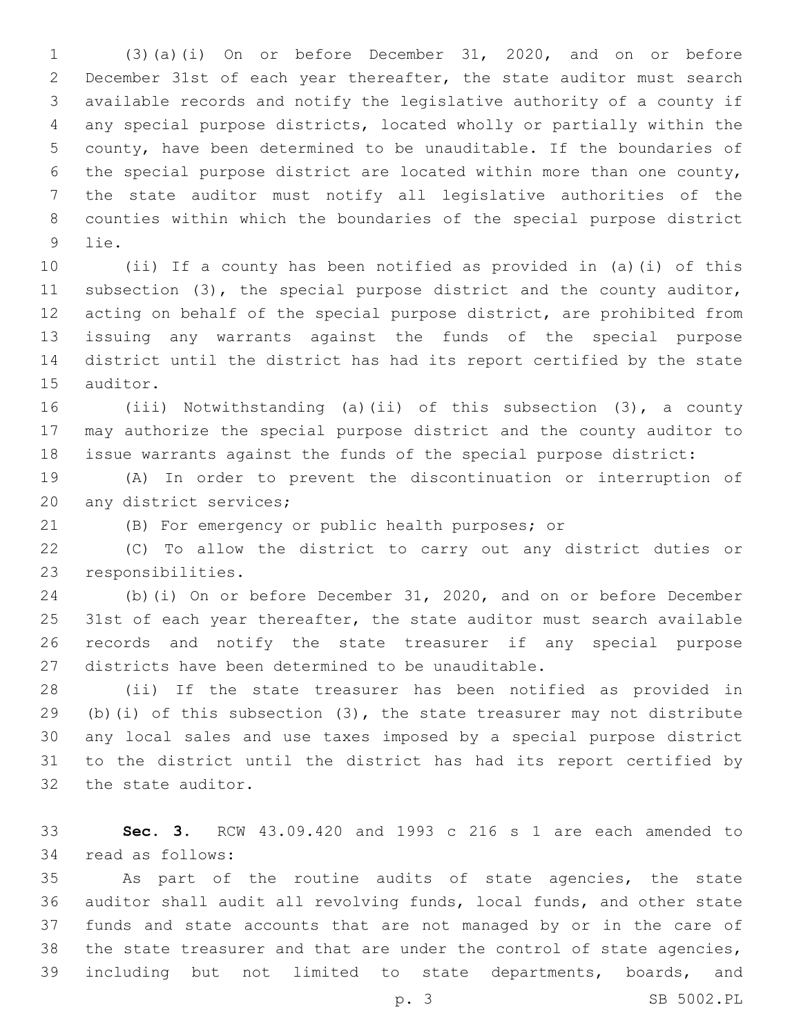(3)(a)(i) On or before December 31, 2020, and on or before December 31st of each year thereafter, the state auditor must search available records and notify the legislative authority of a county if any special purpose districts, located wholly or partially within the county, have been determined to be unauditable. If the boundaries of the special purpose district are located within more than one county, the state auditor must notify all legislative authorities of the counties within which the boundaries of the special purpose district 9 lie.

 (ii) If a county has been notified as provided in (a)(i) of this subsection (3), the special purpose district and the county auditor, acting on behalf of the special purpose district, are prohibited from issuing any warrants against the funds of the special purpose district until the district has had its report certified by the state 15 auditor.

 (iii) Notwithstanding (a)(ii) of this subsection (3), a county may authorize the special purpose district and the county auditor to issue warrants against the funds of the special purpose district:

 (A) In order to prevent the discontinuation or interruption of 20 any district services;

(B) For emergency or public health purposes; or

 (C) To allow the district to carry out any district duties or 23 responsibilities.

 (b)(i) On or before December 31, 2020, and on or before December 25 31st of each year thereafter, the state auditor must search available records and notify the state treasurer if any special purpose 27 districts have been determined to be unauditable.

 (ii) If the state treasurer has been notified as provided in (b)(i) of this subsection (3), the state treasurer may not distribute any local sales and use taxes imposed by a special purpose district to the district until the district has had its report certified by 32 the state auditor.

 **Sec. 3.** RCW 43.09.420 and 1993 c 216 s 1 are each amended to 34 read as follows:

 As part of the routine audits of state agencies, the state auditor shall audit all revolving funds, local funds, and other state funds and state accounts that are not managed by or in the care of the state treasurer and that are under the control of state agencies, including but not limited to state departments, boards, and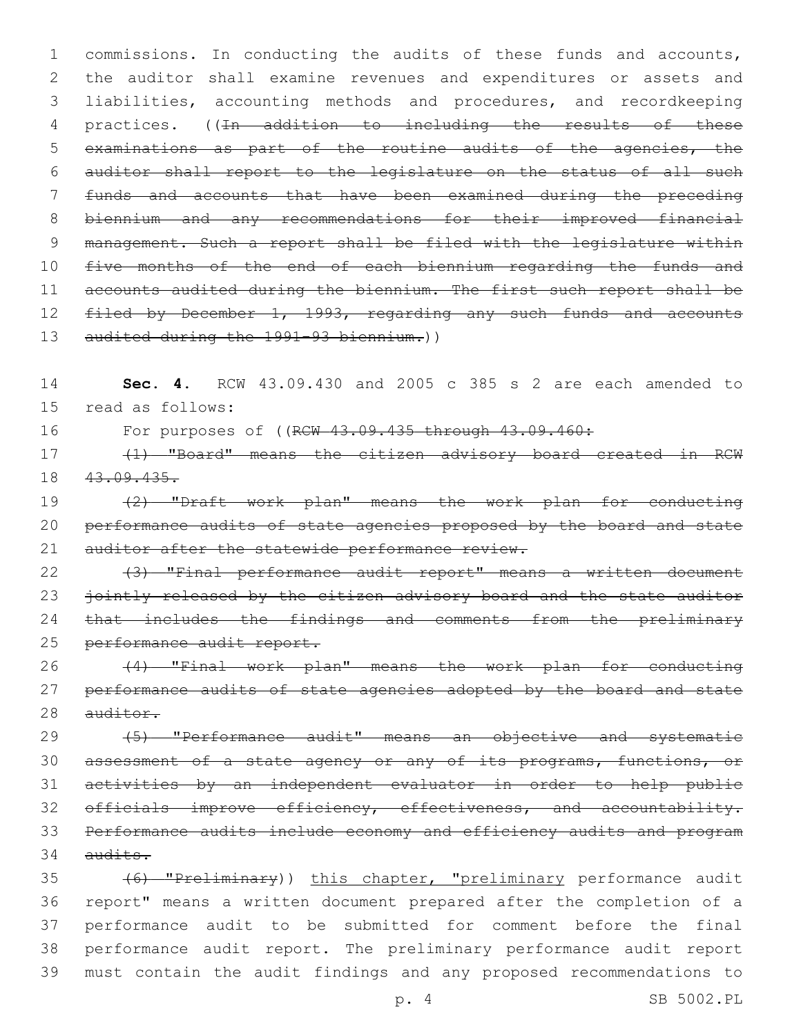1 commissions. In conducting the audits of these funds and accounts, 2 the auditor shall examine revenues and expenditures or assets and 3 liabilities, accounting methods and procedures, and recordkeeping 4 practices. ((In addition to including the results of these 5 examinations as part of the routine audits of the agencies, the 6 auditor shall report to the legislature on the status of all such 7 funds and accounts that have been examined during the preceding 8 biennium and any recommendations for their improved financial 9 management. Such a report shall be filed with the legislature within 10 five months of the end of each biennium regarding the funds and 11 accounts audited during the biennium. The first such report shall be 12 filed by December 1, 1993, regarding any such funds and accounts 13 audited during the 1991-93 biennium.))

14 **Sec. 4.** RCW 43.09.430 and 2005 c 385 s 2 are each amended to 15 read as follows:

16 For purposes of ((RCW 43.09.435 through 43.09.460:

17 (1) "Board" means the citizen advisory board created in RCW 18 43.09.435.

19 (2) "Draft work plan" means the work plan for conducting 20 performance audits of state agencies proposed by the board and state 21 auditor after the statewide performance review.

22 (3) "Final performance audit report" means a written document 23 jointly released by the citizen advisory board and the state auditor 24 that includes the findings and comments from the preliminary 25 performance audit report.

26 (4) "Final work plan" means the work plan for conducting 27 performance audits of state agencies adopted by the board and state 28 auditor.

29 (5) "Performance audit" means an objective and systematic 30 assessment of a state agency or any of its programs, functions, or 31 activities by an independent evaluator in order to help public 32 officials improve efficiency, effectiveness, and accountability. 33 Performance audits include economy and efficiency audits and program  $34$  audits.

 (6) "Preliminary)) this chapter, "preliminary performance audit report" means a written document prepared after the completion of a performance audit to be submitted for comment before the final performance audit report. The preliminary performance audit report must contain the audit findings and any proposed recommendations to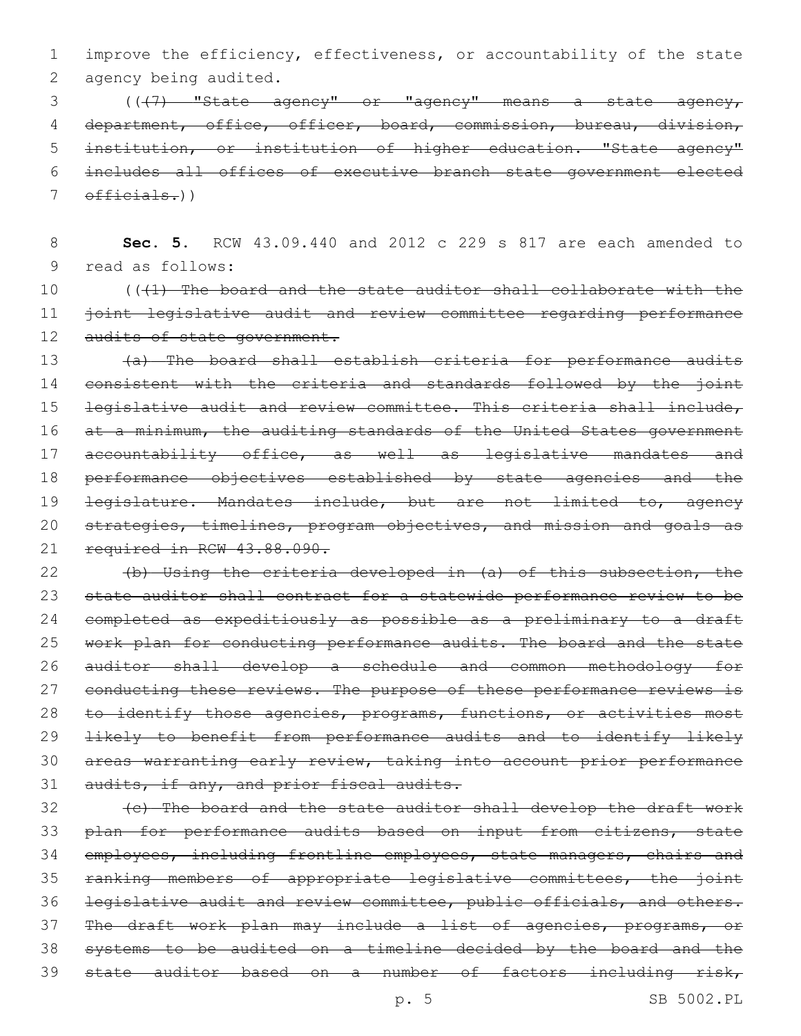1 improve the efficiency, effectiveness, or accountability of the state 2 agency being audited.

3 (((7) "State agency" or "agency" means a state agency, 4 department, office, officer, board, commission, bureau, division, 5 institution, or institution of higher education. "State agency" 6 includes all offices of executive branch state government elected 7 officials.))

8 **Sec. 5.** RCW 43.09.440 and 2012 c 229 s 817 are each amended to 9 read as follows:

10 (((1) The board and the state auditor shall collaborate with the 11 joint legislative audit and review committee regarding performance 12 audits of state government.

13 (a) The board shall establish criteria for performance audits 14 consistent with the criteria and standards followed by the joint 15 legislative audit and review committee. This criteria shall include, 16 at a minimum, the auditing standards of the United States government 17 accountability office, as well as legislative mandates and 18 performance objectives established by state agencies and the 19 <del>legislature. Mandates include, but are not limited to, agency</del> 20 strategies, timelines, program objectives, and mission and goals as 21 required in RCW 43.88.090.

22 (b) Using the criteria developed in (a) of this subsection, the 23 state auditor shall contract for a statewide performance review to be 24 completed as expeditiously as possible as a preliminary to a draft 25 work plan for conducting performance audits. The board and the state 26 auditor shall develop a schedule and common methodology for 27 conducting these reviews. The purpose of these performance reviews is 28 to identify those agencies, programs, functions, or activities most 29 likely to benefit from performance audits and to identify likely 30 areas warranting early review, taking into account prior performance 31 audits, if any, and prior fiscal audits.

32 (c) The board and the state auditor shall develop the draft work 33 plan for performance audits based on input from citizens, state 34 employees, including frontline employees, state managers, chairs and 35 ranking members of appropriate legislative committees, the joint 36 legislative audit and review committee, public officials, and others. 37 The draft work plan may include a list of agencies, programs, or 38 systems to be audited on a timeline decided by the board and the 39 state auditor based on a number of factors including risk,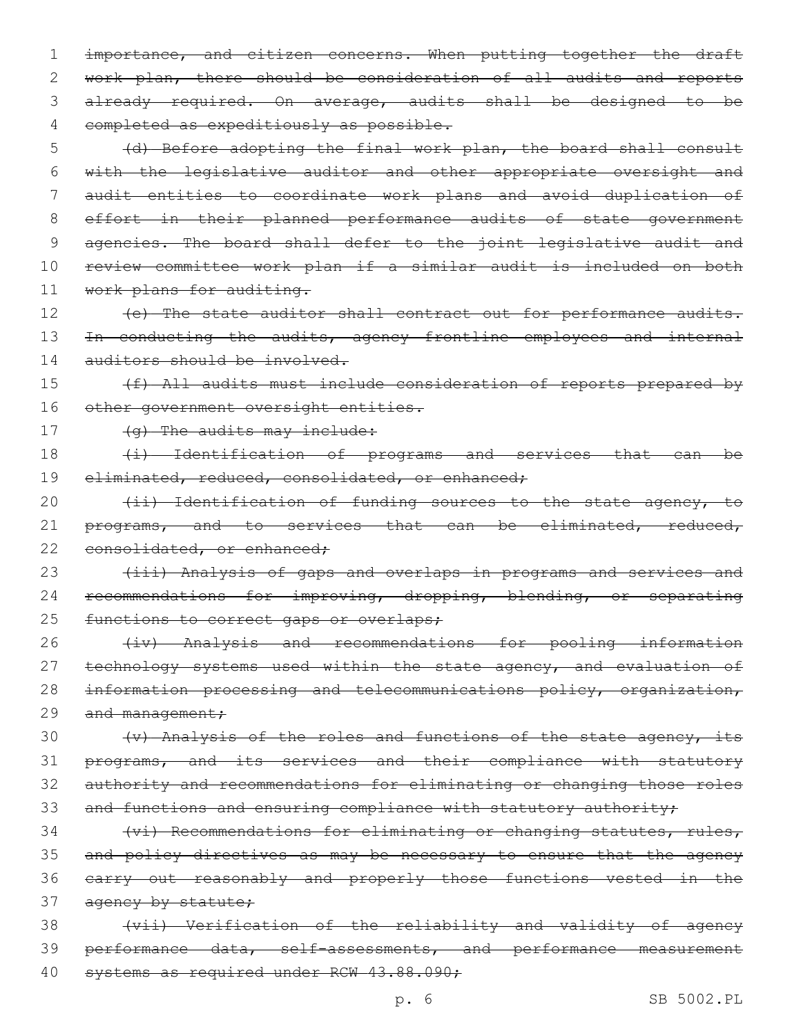1 importance, and citizen concerns. When putting together the draft 2 work plan, there should be consideration of all audits and reports 3 already required. On average, audits shall be designed to be 4 completed as expeditiously as possible.

5 (d) Before adopting the final work plan, the board shall consult 6 with the legislative auditor and other appropriate oversight and 7 audit entities to coordinate work plans and avoid duplication of 8 effort in their planned performance audits of state government 9 agencies. The board shall defer to the joint legislative audit and 10 review committee work plan if a similar audit is included on both 11 work plans for auditing.

12 (e) The state auditor shall contract out for performance audits. 13 In conducting the audits, agency frontline employees and internal 14 auditors should be involved.

15 (f) All audits must include consideration of reports prepared by 16 other government oversight entities.

17 (g) The audits may include:

18 (i) Identification of programs and services that can be 19 eliminated, reduced, consolidated, or enhanced;

20 (ii) Identification of funding sources to the state agency, to 21 programs, and to services that can be eliminated, reduced, 22 consolidated, or enhanced;

23 (iii) Analysis of gaps and overlaps in programs and services and 24 recommendations for improving, dropping, blending, or separating 25 functions to correct gaps or overlaps;

26 (iv) Analysis and recommendations for pooling information 27 technology systems used within the state agency, and evaluation of 28 information processing and telecommunications policy, organization, 29 and management;

 (v) Analysis of the roles and functions of the state agency, its programs, and its services and their compliance with statutory authority and recommendations for eliminating or changing those roles 33 and functions and ensuring compliance with statutory authority;

34 (vi) Recommendations for eliminating or changing statutes, rules, 35 and policy directives as may be necessary to ensure that the agency 36 carry out reasonably and properly those functions vested in the 37 agency by statute;

38 (vii) Verification of the reliability and validity of agency 39 performance data, self-assessments, and performance measurement 40 systems as required under RCW 43.88.090;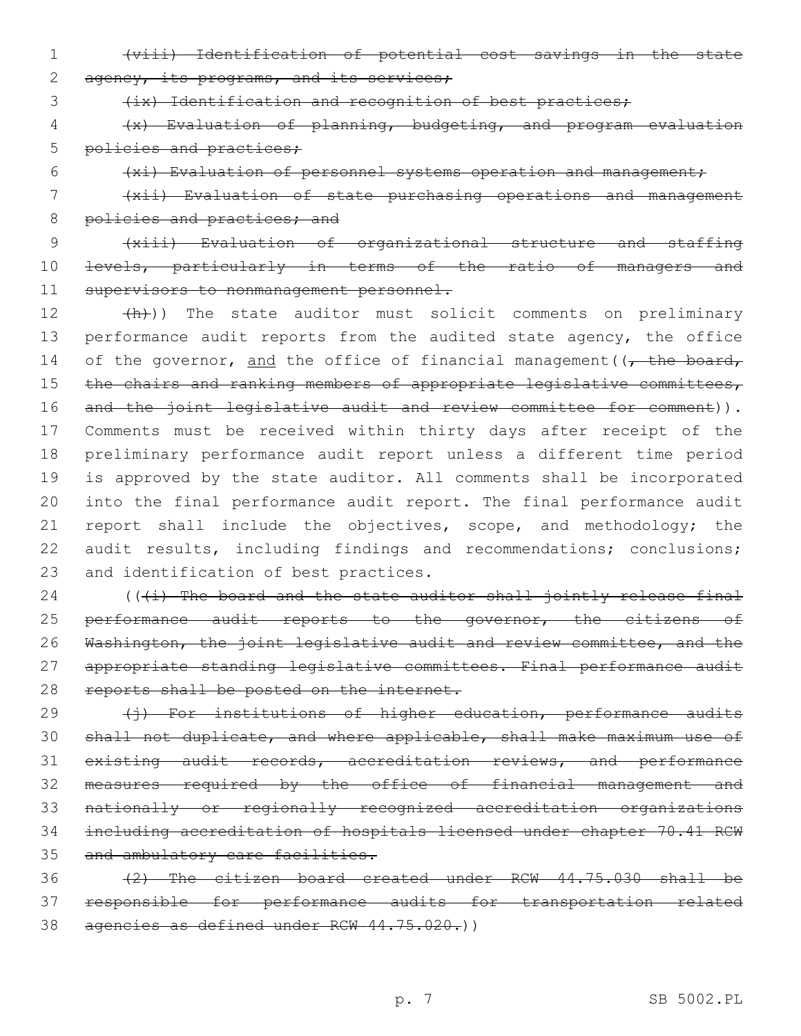1 (viii) Identification of potential cost savings in the state 2 agency, its programs, and its services;

3 (ix) Identification and recognition of best practices;

4 (x) Evaluation of planning, budgeting, and program evaluation 5 policies and practices;

6 (xi) Evaluation of personnel systems operation and management;

7 (xii) Evaluation of state purchasing operations and management 8 policies and practices; and

9 (xiii) Evaluation of organizational structure and staffing 10 <del>levels, particularly in terms of the ratio of managers and</del> 11 supervisors to nonmanagement personnel.

12 (h)) The state auditor must solicit comments on preliminary 13 performance audit reports from the audited state agency, the office 14 of the governor, and the office of financial management ( $\sqrt{\tau}$  the board, 15 the chairs and ranking members of appropriate legislative committees, 16 and the joint legislative audit and review committee for comment)). 17 Comments must be received within thirty days after receipt of the 18 preliminary performance audit report unless a different time period 19 is approved by the state auditor. All comments shall be incorporated 20 into the final performance audit report. The final performance audit 21 report shall include the objectives, scope, and methodology; the 22 audit results, including findings and recommendations; conclusions; 23 and identification of best practices.

 $24$  (( $(i)$  The board and the state auditor shall jointly release final 25 performance audit reports to the governor, the citizens of 26 Washington, the joint legislative audit and review committee, and the 27 appropriate standing legislative committees. Final performance audit 28 reports shall be posted on the internet.

29 (i) For institutions of higher education, performance audits shall not duplicate, and where applicable, shall make maximum use of existing audit records, accreditation reviews, and performance measures required by the office of financial management and nationally or regionally recognized accreditation organizations including accreditation of hospitals licensed under chapter 70.41 RCW 35 and ambulatory care facilities.

36 (2) The citizen board created under RCW 44.75.030 shall be 37 responsible for performance audits for transportation related 38 agencies as defined under RCW 44.75.020.))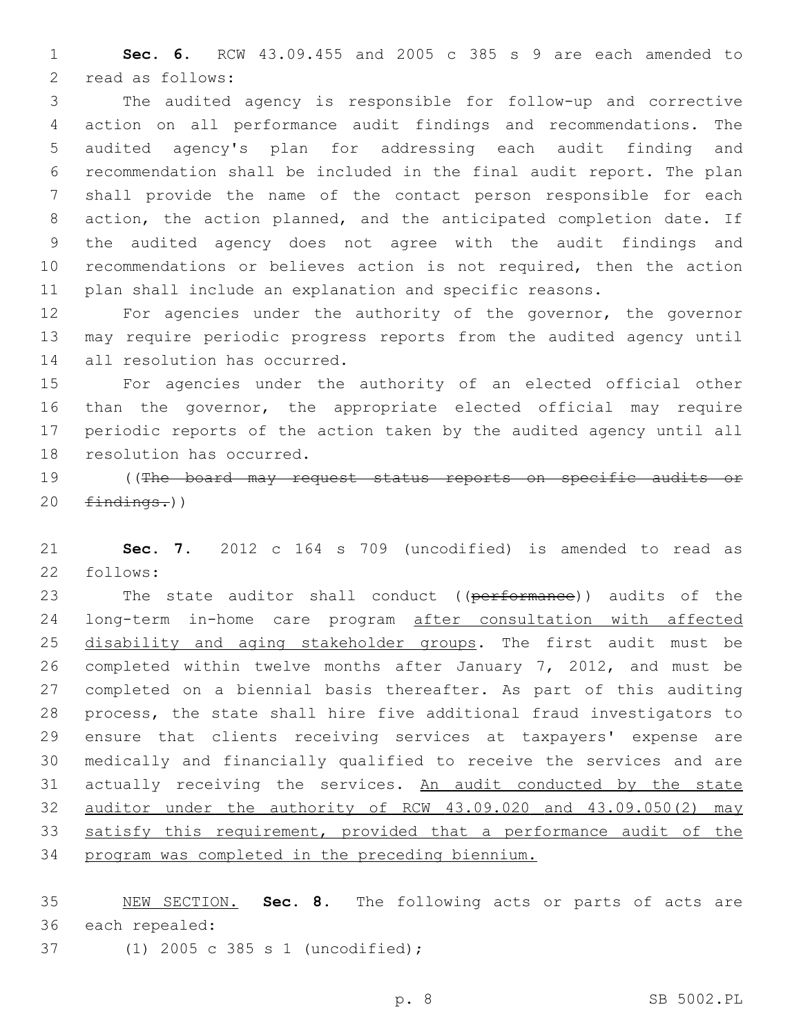**Sec. 6.** RCW 43.09.455 and 2005 c 385 s 9 are each amended to 2 read as follows:

 The audited agency is responsible for follow-up and corrective action on all performance audit findings and recommendations. The audited agency's plan for addressing each audit finding and recommendation shall be included in the final audit report. The plan shall provide the name of the contact person responsible for each action, the action planned, and the anticipated completion date. If the audited agency does not agree with the audit findings and recommendations or believes action is not required, then the action plan shall include an explanation and specific reasons.

 For agencies under the authority of the governor, the governor may require periodic progress reports from the audited agency until 14 all resolution has occurred.

 For agencies under the authority of an elected official other than the governor, the appropriate elected official may require periodic reports of the action taken by the audited agency until all 18 resolution has occurred.

 ((The board may request status reports on specific audits or  $finding.)$ )

 **Sec. 7.** 2012 c 164 s 709 (uncodified) is amended to read as 22 follows:

23 The state auditor shall conduct ((performance)) audits of the long-term in-home care program after consultation with affected 25 disability and aging stakeholder groups. The first audit must be completed within twelve months after January 7, 2012, and must be completed on a biennial basis thereafter. As part of this auditing process, the state shall hire five additional fraud investigators to ensure that clients receiving services at taxpayers' expense are medically and financially qualified to receive the services and are 31 actually receiving the services. An audit conducted by the state auditor under the authority of RCW 43.09.020 and 43.09.050(2) may 33 satisfy this requirement, provided that a performance audit of the program was completed in the preceding biennium.

 NEW SECTION. **Sec. 8.** The following acts or parts of acts are each repealed:

(1) 2005 c 385 s 1 (uncodified);37